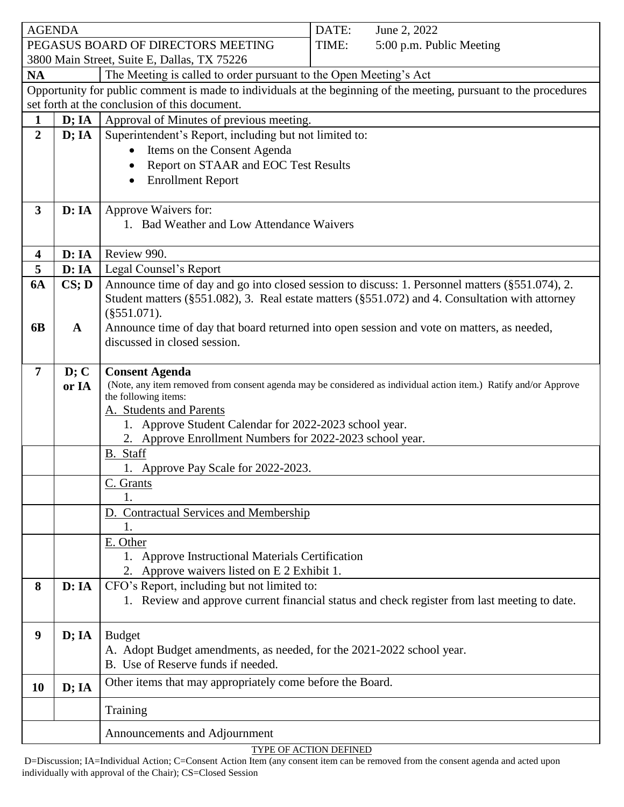| <b>AGENDA</b>                                                                                                     |              | DATE:<br>June 2, 2022                                                                                                      |
|-------------------------------------------------------------------------------------------------------------------|--------------|----------------------------------------------------------------------------------------------------------------------------|
|                                                                                                                   |              | PEGASUS BOARD OF DIRECTORS MEETING<br>TIME:<br>5:00 p.m. Public Meeting                                                    |
| 3800 Main Street, Suite E, Dallas, TX 75226                                                                       |              |                                                                                                                            |
| <b>NA</b><br>The Meeting is called to order pursuant to the Open Meeting's Act                                    |              |                                                                                                                            |
| Opportunity for public comment is made to individuals at the beginning of the meeting, pursuant to the procedures |              |                                                                                                                            |
| set forth at the conclusion of this document.                                                                     |              |                                                                                                                            |
| 1                                                                                                                 | D; IA        | Approval of Minutes of previous meeting.                                                                                   |
| $\overline{2}$                                                                                                    | D; IA        | Superintendent's Report, including but not limited to:                                                                     |
|                                                                                                                   |              | Items on the Consent Agenda                                                                                                |
|                                                                                                                   |              | Report on STAAR and EOC Test Results                                                                                       |
|                                                                                                                   |              | <b>Enrollment Report</b><br>$\bullet$                                                                                      |
| 3                                                                                                                 | D:IA         | Approve Waivers for:                                                                                                       |
|                                                                                                                   |              | 1. Bad Weather and Low Attendance Waivers                                                                                  |
|                                                                                                                   |              |                                                                                                                            |
| 4                                                                                                                 | D: IA        | Review 990.                                                                                                                |
| 5                                                                                                                 | D: IA        | Legal Counsel's Report                                                                                                     |
| <b>6A</b>                                                                                                         | CS;D         | Announce time of day and go into closed session to discuss: 1. Personnel matters (§551.074), 2.                            |
|                                                                                                                   |              | Student matters (§551.082), 3. Real estate matters (§551.072) and 4. Consultation with attorney                            |
|                                                                                                                   |              | $(\$551.071).$                                                                                                             |
| 6 <b>B</b>                                                                                                        | $\mathbf{A}$ | Announce time of day that board returned into open session and vote on matters, as needed,<br>discussed in closed session. |
|                                                                                                                   |              |                                                                                                                            |
| $\overline{7}$                                                                                                    | D; C         | <b>Consent Agenda</b>                                                                                                      |
|                                                                                                                   | or IA        | (Note, any item removed from consent agenda may be considered as individual action item.) Ratify and/or Approve            |
|                                                                                                                   |              | the following items:<br>A. Students and Parents                                                                            |
|                                                                                                                   |              | 1. Approve Student Calendar for 2022-2023 school year.                                                                     |
|                                                                                                                   |              | 2. Approve Enrollment Numbers for 2022-2023 school year.                                                                   |
|                                                                                                                   |              | B. Staff                                                                                                                   |
|                                                                                                                   |              | 1. Approve Pay Scale for 2022-2023.                                                                                        |
|                                                                                                                   |              | C. Grants                                                                                                                  |
|                                                                                                                   |              | 1.                                                                                                                         |
|                                                                                                                   |              | D. Contractual Services and Membership<br>1.                                                                               |
|                                                                                                                   |              | E. Other                                                                                                                   |
|                                                                                                                   |              | 1. Approve Instructional Materials Certification                                                                           |
|                                                                                                                   |              | 2. Approve waivers listed on E 2 Exhibit 1.                                                                                |
| 8                                                                                                                 | D: IA        | CFO's Report, including but not limited to:                                                                                |
|                                                                                                                   |              | 1. Review and approve current financial status and check register from last meeting to date.                               |
|                                                                                                                   |              |                                                                                                                            |
| 9                                                                                                                 | D; IA        | <b>Budget</b>                                                                                                              |
|                                                                                                                   |              | A. Adopt Budget amendments, as needed, for the 2021-2022 school year.                                                      |
|                                                                                                                   |              | B. Use of Reserve funds if needed.                                                                                         |
| 10                                                                                                                | D; IA        | Other items that may appropriately come before the Board.                                                                  |
|                                                                                                                   |              | Training                                                                                                                   |
|                                                                                                                   |              |                                                                                                                            |
|                                                                                                                   |              | Announcements and Adjournment                                                                                              |

TYPE OF ACTION DEFINED

D=Discussion; IA=Individual Action; C=Consent Action Item (any consent item can be removed from the consent agenda and acted upon individually with approval of the Chair); CS=Closed Session